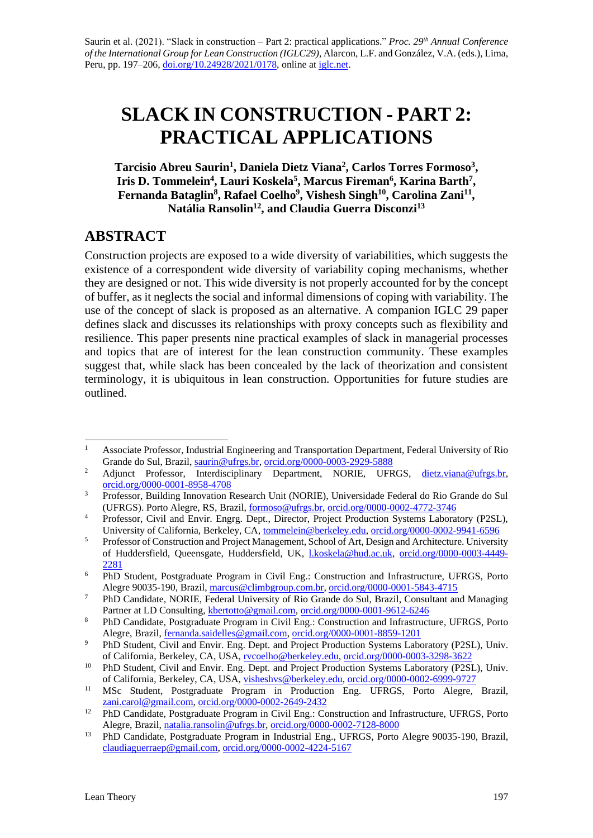# **SLACK IN CONSTRUCTION - PART 2: PRACTICAL APPLICATIONS**

#### Tarcisio Abreu Saurin<sup>1</sup>, Daniela Dietz Viana<sup>2</sup>, Carlos Torres Formoso<sup>3</sup>, **Iris D. Tommelein<sup>4</sup> , Lauri Koskela<sup>5</sup> , Marcus Fireman<sup>6</sup> , Karina Barth<sup>7</sup> ,**  Fernanda Bataglin<sup>8</sup>, Rafael Coelho<sup>9</sup>, Vishesh Singh<sup>10</sup>, Carolina Zani<sup>11</sup>, **Natália Ransolin<sup>12</sup> , and Claudia Guerra Disconzi<sup>13</sup>**

# **ABSTRACT**

Construction projects are exposed to a wide diversity of variabilities, which suggests the existence of a correspondent wide diversity of variability coping mechanisms, whether they are designed or not. This wide diversity is not properly accounted for by the concept of buffer, as it neglects the social and informal dimensions of coping with variability. The use of the concept of slack is proposed as an alternative. A companion IGLC 29 paper defines slack and discusses its relationships with proxy concepts such as flexibility and resilience. This paper presents nine practical examples of slack in managerial processes and topics that are of interest for the lean construction community. These examples suggest that, while slack has been concealed by the lack of theorization and consistent terminology, it is ubiquitous in lean construction. Opportunities for future studies are outlined.

<sup>&</sup>lt;sup>1</sup> Associate Professor, Industrial Engineering and Transportation Department, Federal University of Rio Grande do Sul, Brazil, [saurin@ufrgs.br,](mailto:saurin@ufrgs.br) [orcid.org/0000-0003-2929-5888](https://orcid.org/0000-0003-2929-5888)

<sup>&</sup>lt;sup>2</sup> Adjunct Professor, Interdisciplinary Department, NORIE, UFRGS, [dietz.viana@ufrgs.br,](mailto:dietz.viana@ufrgs.br) [orcid.org/0000-0001-8958-4708](https://orcid.org/0000-0001-8958-4708)

<sup>&</sup>lt;sup>3</sup> Professor, Building Innovation Research Unit (NORIE), Universidade Federal do Rio Grande do Sul (UFRGS). Porto Alegre, RS, Brazil, [formoso@ufrgs.br,](mailto:formoso@ufrgs.br) [orcid.org/0000-0002-4772-3746](https://orcid.org/0000-0002-4772-3746)

<sup>&</sup>lt;sup>4</sup> Professor, Civil and Envir. Engrg. Dept., Director, Project Production Systems Laboratory (P2SL), University of California, Berkeley, CA, [tommelein@berkeley.edu,](mailto:tommelein@berkeley.edu) [orcid.org/0000-0002-9941-6596](https://orcid.org/0000-0002-9941-6596)

<sup>&</sup>lt;sup>5</sup> Professor of Construction and Project Management, School of Art, Design and Architecture. University of Huddersfield, Queensgate, Huddersfield, UK, [l.koskela@hud.ac.uk,](mailto:l.koskela@hud.ac.uk) [orcid.org/0000-0003-4449-](https://orcid.org/0000-0003-4449-2281) [2281](https://orcid.org/0000-0003-4449-2281)

<sup>6</sup> PhD Student, Postgraduate Program in Civil Eng.: Construction and Infrastructure, UFRGS, Porto Alegre 90035-190, Brazil[, marcus@climbgroup.com.br,](mailto:marcus@climbgroup.com.br) [orcid.org/0000-0001-5843-4715](https://orcid.org/0000-0001-5843-4715)

<sup>7</sup> PhD Candidate, NORIE, Federal University of Rio Grande do Sul, Brazil, Consultant and Managing Partner at LD Consulting, [kbertotto@gmail.com,](mailto:kbertotto@gmail.com) [orcid.org/0000-0001-9612-6246](https://orcid.org/0000-0001-9612-6246)

<sup>8</sup> PhD Candidate, Postgraduate Program in Civil Eng.: Construction and Infrastructure, UFRGS, Porto Alegre, Brazil[, fernanda.saidelles@gmail.com,](mailto:fernanda.saidelles@gmail.com) [orcid.org/0000-0001-8859-1201](https://orcid.org/0000-0001-8859-1201)

<sup>&</sup>lt;sup>9</sup> PhD Student, Civil and Envir. Eng. Dept. and Project Production Systems Laboratory (P2SL), Univ. of California, Berkeley, CA, USA, [rvcoelho@berkeley.edu,](mailto:rvcoelho@berkeley.edu) [orcid.org/0000-0003-3298-3622](https://orcid.org/0000-0003-3298-3622)

<sup>&</sup>lt;sup>10</sup> PhD Student, Civil and Envir. Eng. Dept. and Project Production Systems Laboratory (P2SL), Univ. of California, Berkeley, CA, USA, [visheshvs@berkeley.edu,](mailto:visheshvs@berkeley.edu) [orcid.org/0000-0002-6999-9727](https://orcid.org/0000-0002-6999-9727)

<sup>&</sup>lt;sup>11</sup> MSc Student, Postgraduate Program in Production Eng. UFRGS, Porto Alegre, Brazil, [zani.carol@gmail.com,](mailto:zani.carol@gmail.com) [orcid.org/0000-0002-2649-2432](https://orcid.org/0000-0002-2649-2432)

<sup>&</sup>lt;sup>12</sup> PhD Candidate, Postgraduate Program in Civil Eng.: Construction and Infrastructure, UFRGS, Porto Alegre, Brazil[, natalia.ransolin@ufrgs.br,](mailto:natalia.ransolin@ufrgs.br) [orcid.org/0000-0002-7128-8000](https://orcid.org/0000-0002-7128-8000)

<sup>&</sup>lt;sup>13</sup> PhD Candidate, Postgraduate Program in Industrial Eng., UFRGS, Porto Alegre 90035-190, Brazil, [claudiaguerraep@gmail.com,](mailto:claudiaguerraep@gmail.com) [orcid.org/0000-0002-4224-5167](https://orcid.org/0000-0002-4224-5167)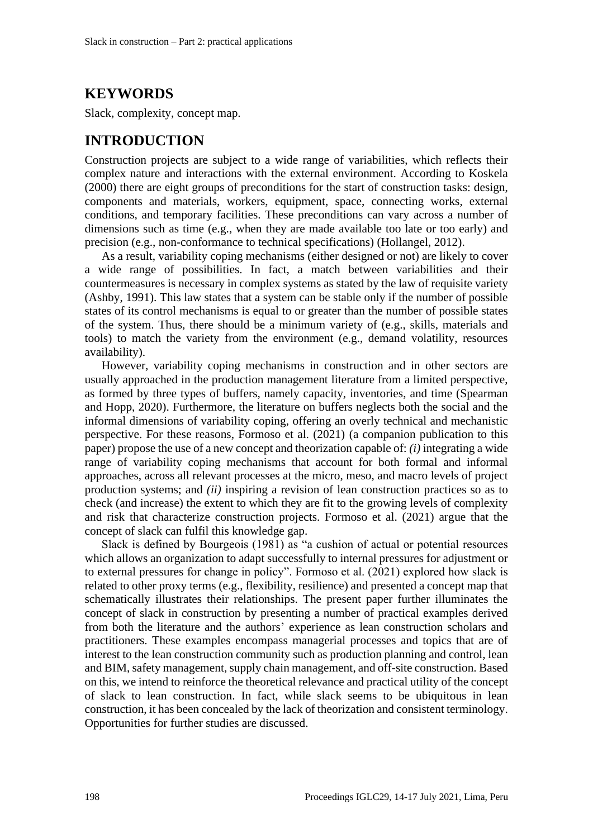# **KEYWORDS**

Slack, complexity, concept map.

### **INTRODUCTION**

Construction projects are subject to a wide range of variabilities, which reflects their complex nature and interactions with the external environment. According to Koskela (2000) there are eight groups of preconditions for the start of construction tasks: design, components and materials, workers, equipment, space, connecting works, external conditions, and temporary facilities. These preconditions can vary across a number of dimensions such as time (e.g., when they are made available too late or too early) and precision (e.g., non-conformance to technical specifications) (Hollangel, 2012).

As a result, variability coping mechanisms (either designed or not) are likely to cover a wide range of possibilities. In fact, a match between variabilities and their countermeasures is necessary in complex systems as stated by the law of requisite variety (Ashby, 1991). This law states that a system can be stable only if the number of possible states of its control mechanisms is equal to or greater than the number of possible states of the system. Thus, there should be a minimum variety of (e.g., skills, materials and tools) to match the variety from the environment (e.g., demand volatility, resources availability).

However, variability coping mechanisms in construction and in other sectors are usually approached in the production management literature from a limited perspective, as formed by three types of buffers, namely capacity, inventories, and time (Spearman and Hopp, 2020). Furthermore, the literature on buffers neglects both the social and the informal dimensions of variability coping, offering an overly technical and mechanistic perspective. For these reasons, Formoso et al. (2021) (a companion publication to this paper) propose the use of a new concept and theorization capable of: *(i)* integrating a wide range of variability coping mechanisms that account for both formal and informal approaches, across all relevant processes at the micro, meso, and macro levels of project production systems; and *(ii)* inspiring a revision of lean construction practices so as to check (and increase) the extent to which they are fit to the growing levels of complexity and risk that characterize construction projects. Formoso et al. (2021) argue that the concept of slack can fulfil this knowledge gap.

Slack is defined by Bourgeois (1981) as "a cushion of actual or potential resources which allows an organization to adapt successfully to internal pressures for adjustment or to external pressures for change in policy". Formoso et al. (2021) explored how slack is related to other proxy terms (e.g., flexibility, resilience) and presented a concept map that schematically illustrates their relationships. The present paper further illuminates the concept of slack in construction by presenting a number of practical examples derived from both the literature and the authors' experience as lean construction scholars and practitioners. These examples encompass managerial processes and topics that are of interest to the lean construction community such as production planning and control, lean and BIM, safety management, supply chain management, and off-site construction. Based on this, we intend to reinforce the theoretical relevance and practical utility of the concept of slack to lean construction. In fact, while slack seems to be ubiquitous in lean construction, it has been concealed by the lack of theorization and consistent terminology. Opportunities for further studies are discussed.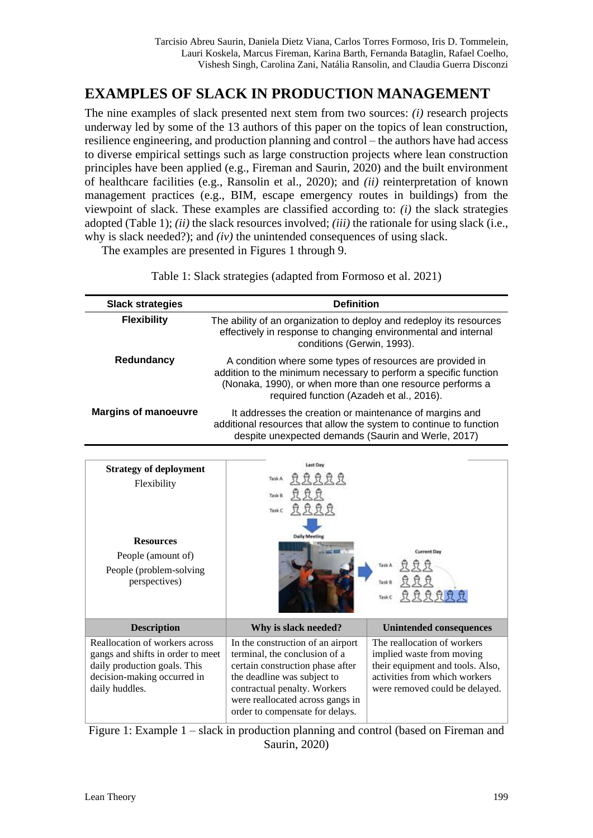# **EXAMPLES OF SLACK IN PRODUCTION MANAGEMENT**

The nine examples of slack presented next stem from two sources: *(i)* research projects underway led by some of the 13 authors of this paper on the topics of lean construction, resilience engineering, and production planning and control – the authors have had access to diverse empirical settings such as large construction projects where lean construction principles have been applied (e.g., Fireman and Saurin, 2020) and the built environment of healthcare facilities (e.g., Ransolin et al., 2020); and *(ii)* reinterpretation of known management practices (e.g., BIM, escape emergency routes in buildings) from the viewpoint of slack. These examples are classified according to: *(i)* the slack strategies adopted (Table 1); *(ii)* the slack resources involved; *(iii)* the rationale for using slack (i.e., why is slack needed?); and *(iv)* the unintended consequences of using slack.

The examples are presented in Figures 1 through 9.

| <b>Slack strategies</b>     | <b>Definition</b>                                                                                                                                                                                                                      |
|-----------------------------|----------------------------------------------------------------------------------------------------------------------------------------------------------------------------------------------------------------------------------------|
| <b>Flexibility</b>          | The ability of an organization to deploy and redeploy its resources<br>effectively in response to changing environmental and internal<br>conditions (Gerwin, 1993).                                                                    |
| Redundancy                  | A condition where some types of resources are provided in<br>addition to the minimum necessary to perform a specific function<br>(Nonaka, 1990), or when more than one resource performs a<br>required function (Azadeh et al., 2016). |
| <b>Margins of manoeuvre</b> | It addresses the creation or maintenance of margins and<br>additional resources that allow the system to continue to function<br>despite unexpected demands (Saurin and Werle, 2017)                                                   |

Table 1: Slack strategies (adapted from Formoso et al. 2021)

| <b>Strategy of deployment</b><br><b>Flexibility</b><br><b>Resources</b><br>People (amount of)<br>People (problem-solving)<br>perspectives)           | <b>Last Day</b><br>Task C<br><b>Daily Meeting</b>                                                                                                                                                                                            | <b>Current Day</b><br>Task A<br>$\theta$ $\theta$                                                                                                               |
|------------------------------------------------------------------------------------------------------------------------------------------------------|----------------------------------------------------------------------------------------------------------------------------------------------------------------------------------------------------------------------------------------------|-----------------------------------------------------------------------------------------------------------------------------------------------------------------|
| <b>Description</b>                                                                                                                                   | Why is slack needed?                                                                                                                                                                                                                         | <b>Unintended consequences</b>                                                                                                                                  |
| Reallocation of workers across<br>gangs and shifts in order to meet<br>daily production goals. This<br>decision-making occurred in<br>daily huddles. | In the construction of an airport<br>terminal, the conclusion of a<br>certain construction phase after<br>the deadline was subject to<br>contractual penalty. Workers<br>were reallocated across gangs in<br>order to compensate for delays. | The reallocation of workers<br>implied waste from moving<br>their equipment and tools. Also,<br>activities from which workers<br>were removed could be delayed. |

Figure 1: Example 1 – slack in production planning and control (based on Fireman and Saurin, 2020)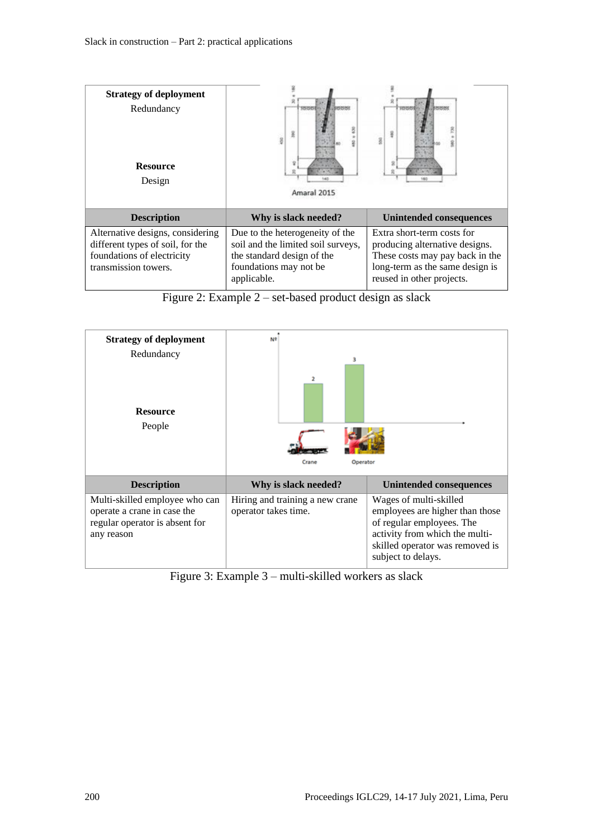| <b>Strategy of deployment</b><br>Redundancy<br><b>Resource</b><br>Design                                                   | ý<br>Amaral 2015                                                                                                                             |                                                                                                                                                                 |
|----------------------------------------------------------------------------------------------------------------------------|----------------------------------------------------------------------------------------------------------------------------------------------|-----------------------------------------------------------------------------------------------------------------------------------------------------------------|
| <b>Description</b>                                                                                                         | Why is slack needed?                                                                                                                         | Unintended consequences                                                                                                                                         |
| Alternative designs, considering<br>different types of soil, for the<br>foundations of electricity<br>transmission towers. | Due to the heterogeneity of the<br>soil and the limited soil surveys,<br>the standard design of the<br>foundations may not be<br>applicable. | Extra short-term costs for<br>producing alternative designs.<br>These costs may pay back in the<br>long-term as the same design is<br>reused in other projects. |

Figure 2: Example 2 – set-based product design as slack



Figure 3: Example 3 – multi-skilled workers as slack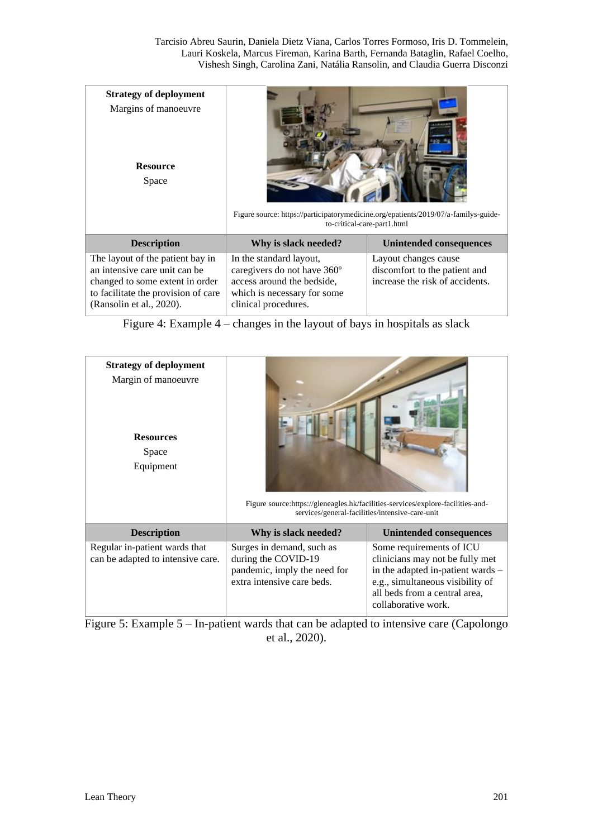| <b>Strategy of deployment</b><br>Margins of manoeuvre<br><b>Resource</b><br>Space                                                                                       | Figure source: https://participatorymedicine.org/epatients/2019/07/a-familys-guide-<br>to-critical-care-part1.html                          |                                                                                          |
|-------------------------------------------------------------------------------------------------------------------------------------------------------------------------|---------------------------------------------------------------------------------------------------------------------------------------------|------------------------------------------------------------------------------------------|
| <b>Description</b>                                                                                                                                                      | Why is slack needed?                                                                                                                        | <b>Unintended consequences</b>                                                           |
| The layout of the patient bay in<br>an intensive care unit can be<br>changed to some extent in order<br>to facilitate the provision of care<br>(Ransolin et al., 2020). | In the standard layout,<br>caregivers do not have 360°<br>access around the bedside,<br>which is necessary for some<br>clinical procedures. | Layout changes cause<br>discomfort to the patient and<br>increase the risk of accidents. |

Figure 4: Example 4 – changes in the layout of bays in hospitals as slack

| <b>Strategy of deployment</b><br>Margin of manoeuvre<br><b>Resources</b><br>Space<br>Equipment |                                                                                                                | Figure source:https://gleneagles.hk/facilities-services/explore-facilities-and-<br>services/general-facilities/intensive-care-unit                                                           |
|------------------------------------------------------------------------------------------------|----------------------------------------------------------------------------------------------------------------|----------------------------------------------------------------------------------------------------------------------------------------------------------------------------------------------|
| <b>Description</b>                                                                             | Why is slack needed?                                                                                           | <b>Unintended consequences</b>                                                                                                                                                               |
| Regular in-patient wards that<br>can be adapted to intensive care.                             | Surges in demand, such as<br>during the COVID-19<br>pandemic, imply the need for<br>extra intensive care beds. | Some requirements of ICU<br>clinicians may not be fully met<br>in the adapted in-patient wards -<br>e.g., simultaneous visibility of<br>all beds from a central area,<br>collaborative work. |

Figure 5: Example 5 – In-patient wards that can be adapted to intensive care (Capolongo et al., 2020).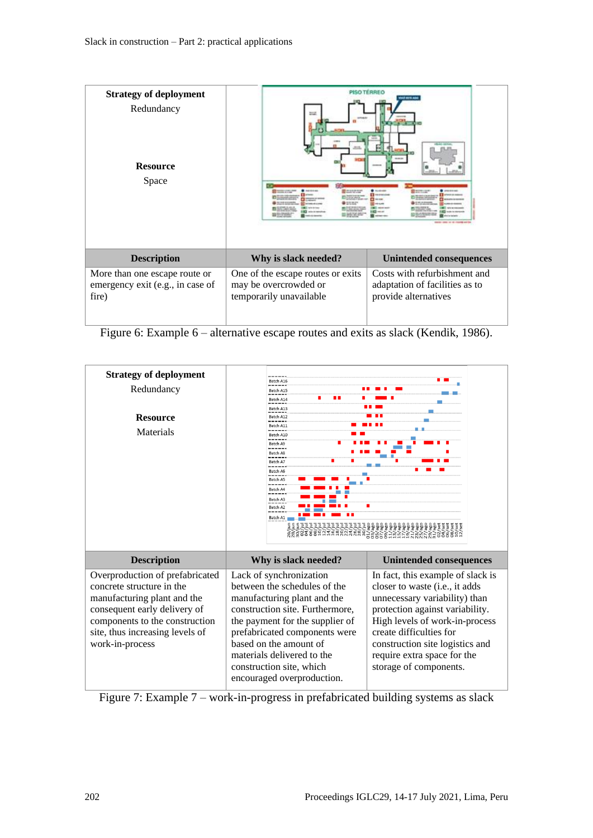| <b>Strategy of deployment</b><br>Redundancy<br><b>Resource</b><br>Space    |                                                                                       | PISO TERREO<br><b>DER KETA AL</b><br><b>HORACE CAR</b><br><b>CONTRACTOR IN A PARTIES</b> |
|----------------------------------------------------------------------------|---------------------------------------------------------------------------------------|------------------------------------------------------------------------------------------|
| <b>Description</b>                                                         | Why is slack needed?                                                                  | <b>Unintended consequences</b>                                                           |
| More than one escape route or<br>emergency exit (e.g., in case of<br>fire) | One of the escape routes or exits<br>may be overcrowded or<br>temporarily unavailable | Costs with refurbishment and<br>adaptation of facilities as to<br>provide alternatives   |

Figure 6: Example 6 – alternative escape routes and exits as slack (Kendik, 1986).

| <b>Strategy of deployment</b><br>Redundancy<br><b>Resource</b><br>Materials                                                                                                                                         | Batch A16<br>Batch A15<br>Batch A14<br>Batch A13<br>Batch A12<br>Batch A11<br>Batch A10<br>Batch A9<br>-----<br>Batch A8<br>-----<br>Batch A7<br>Batch A6<br>Batch A5<br>-----<br>Batch A4<br>Batch A3<br>Batch A2<br>Batch A1                                                                                  | <u>้</u> มีพีพี่ผีพี่พี่ 8 ธ. 6 ธ. 6 ช.                                                                                                                                                                                                                                                          |
|---------------------------------------------------------------------------------------------------------------------------------------------------------------------------------------------------------------------|-----------------------------------------------------------------------------------------------------------------------------------------------------------------------------------------------------------------------------------------------------------------------------------------------------------------|--------------------------------------------------------------------------------------------------------------------------------------------------------------------------------------------------------------------------------------------------------------------------------------------------|
| <b>Description</b>                                                                                                                                                                                                  | Why is slack needed?                                                                                                                                                                                                                                                                                            | <b>Unintended consequences</b>                                                                                                                                                                                                                                                                   |
| Overproduction of prefabricated<br>concrete structure in the<br>manufacturing plant and the<br>consequent early delivery of<br>components to the construction<br>site, thus increasing levels of<br>work-in-process | Lack of synchronization<br>between the schedules of the<br>manufacturing plant and the<br>construction site. Furthermore,<br>the payment for the supplier of<br>prefabricated components were<br>based on the amount of<br>materials delivered to the<br>construction site, which<br>encouraged overproduction. | In fact, this example of slack is<br>closer to waste (i.e., it adds<br>unnecessary variability) than<br>protection against variability.<br>High levels of work-in-process<br>create difficulties for<br>construction site logistics and<br>require extra space for the<br>storage of components. |

Figure 7: Example 7 – work-in-progress in prefabricated building systems as slack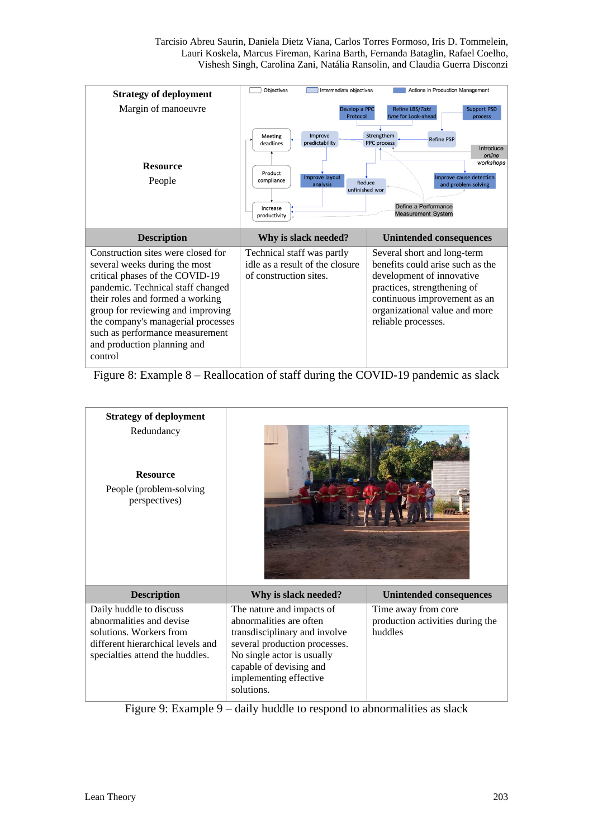Tarcisio Abreu Saurin, Daniela Dietz Viana, Carlos Torres Formoso, Iris D. Tommelein, Lauri Koskela, Marcus Fireman, Karina Barth, Fernanda Bataglin, Rafael Coelho, Vishesh Singh, Carolina Zani, Natália Ransolin, and Claudia Guerra Disconzi

| <b>Strategy of deployment</b>                                                                                                                                                                                                                                                                                                           | <b>Objectives</b><br>Intermediate objectives                                                                                                 | Actions in Production Management                                                                                                                                                                                                 |
|-----------------------------------------------------------------------------------------------------------------------------------------------------------------------------------------------------------------------------------------------------------------------------------------------------------------------------------------|----------------------------------------------------------------------------------------------------------------------------------------------|----------------------------------------------------------------------------------------------------------------------------------------------------------------------------------------------------------------------------------|
| Margin of manoeuvre<br><b>Resource</b><br>People                                                                                                                                                                                                                                                                                        | Develop a PPC<br>Protocol<br>Improve<br><b>Meeting</b><br>predictability<br>deadlines<br>Product<br>Improve layout<br>compliance<br>analysis | <b>Refine LBS/Takt</b><br><b>Support PSD</b><br>time for Look-ahead<br>process<br>Strengthem<br><b>Refine PSP</b><br>PPC process<br>Introduce<br>online<br>workshops<br>Improve cause detection<br>Reduce<br>and problem solving |
| <b>Description</b>                                                                                                                                                                                                                                                                                                                      | unfinished wor<br>Increase<br>productivity<br>Why is slack needed?                                                                           | Define a Performance<br><b>Measurement System</b><br><b>Unintended consequences</b>                                                                                                                                              |
| Construction sites were closed for<br>several weeks during the most<br>critical phases of the COVID-19<br>pandemic. Technical staff changed<br>their roles and formed a working<br>group for reviewing and improving<br>the company's managerial processes<br>such as performance measurement<br>and production planning and<br>control | Technical staff was partly<br>idle as a result of the closure<br>of construction sites.                                                      | Several short and long-term<br>benefits could arise such as the<br>development of innovative<br>practices, strengthening of<br>continuous improvement as an<br>organizational value and more<br>reliable processes.              |

Figure 8: Example 8 – Reallocation of staff during the COVID-19 pandemic as slack

| <b>Strategy of deployment</b><br>Redundancy<br><b>Resource</b><br>People (problem-solving<br>perspectives)                                             |                                                                                                                                                                                                                         |                                                                    |
|--------------------------------------------------------------------------------------------------------------------------------------------------------|-------------------------------------------------------------------------------------------------------------------------------------------------------------------------------------------------------------------------|--------------------------------------------------------------------|
| <b>Description</b>                                                                                                                                     | Why is slack needed?                                                                                                                                                                                                    | <b>Unintended consequences</b>                                     |
| Daily huddle to discuss<br>abnormalities and devise<br>solutions. Workers from<br>different hierarchical levels and<br>specialties attend the huddles. | The nature and impacts of<br>abnormalities are often<br>transdisciplinary and involve<br>several production processes.<br>No single actor is usually<br>capable of devising and<br>implementing effective<br>solutions. | Time away from core<br>production activities during the<br>huddles |

Figure 9: Example 9 – daily huddle to respond to abnormalities as slack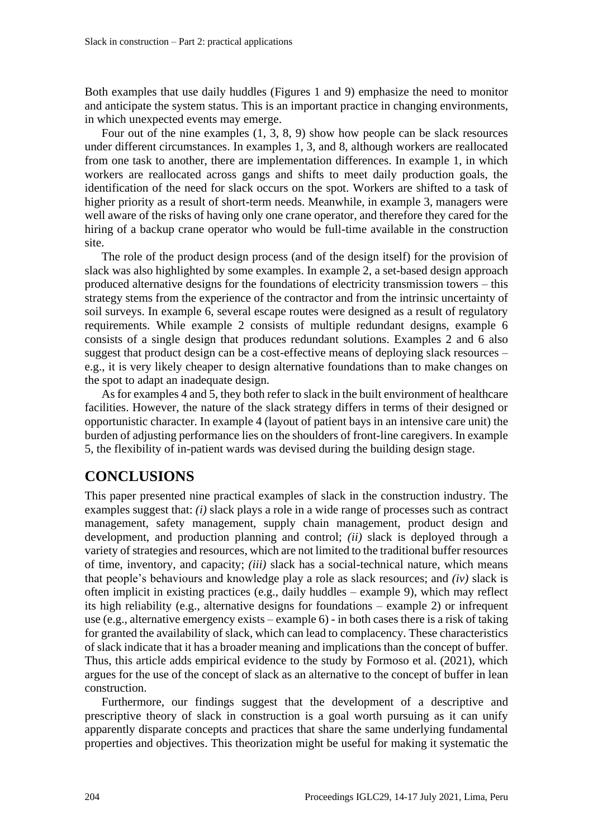Both examples that use daily huddles (Figures 1 and 9) emphasize the need to monitor and anticipate the system status. This is an important practice in changing environments, in which unexpected events may emerge.

Four out of the nine examples (1, 3, 8, 9) show how people can be slack resources under different circumstances. In examples 1, 3, and 8, although workers are reallocated from one task to another, there are implementation differences. In example 1, in which workers are reallocated across gangs and shifts to meet daily production goals, the identification of the need for slack occurs on the spot. Workers are shifted to a task of higher priority as a result of short-term needs. Meanwhile, in example 3, managers were well aware of the risks of having only one crane operator, and therefore they cared for the hiring of a backup crane operator who would be full-time available in the construction site.

The role of the product design process (and of the design itself) for the provision of slack was also highlighted by some examples. In example 2, a set-based design approach produced alternative designs for the foundations of electricity transmission towers – this strategy stems from the experience of the contractor and from the intrinsic uncertainty of soil surveys. In example 6, several escape routes were designed as a result of regulatory requirements. While example 2 consists of multiple redundant designs, example 6 consists of a single design that produces redundant solutions. Examples 2 and 6 also suggest that product design can be a cost-effective means of deploying slack resources – e.g., it is very likely cheaper to design alternative foundations than to make changes on the spot to adapt an inadequate design.

As for examples 4 and 5, they both refer to slack in the built environment of healthcare facilities. However, the nature of the slack strategy differs in terms of their designed or opportunistic character. In example 4 (layout of patient bays in an intensive care unit) the burden of adjusting performance lies on the shoulders of front-line caregivers. In example 5, the flexibility of in-patient wards was devised during the building design stage.

# **CONCLUSIONS**

This paper presented nine practical examples of slack in the construction industry. The examples suggest that: *(i)* slack plays a role in a wide range of processes such as contract management, safety management, supply chain management, product design and development, and production planning and control; *(ii)* slack is deployed through a variety of strategies and resources, which are not limited to the traditional buffer resources of time, inventory, and capacity; *(iii)* slack has a social-technical nature, which means that people's behaviours and knowledge play a role as slack resources; and *(iv)* slack is often implicit in existing practices (e.g., daily huddles – example 9), which may reflect its high reliability (e.g., alternative designs for foundations – example 2) or infrequent use (e.g., alternative emergency exists – example 6) - in both cases there is a risk of taking for granted the availability of slack, which can lead to complacency. These characteristics of slack indicate that it has a broader meaning and implications than the concept of buffer. Thus, this article adds empirical evidence to the study by Formoso et al. (2021), which argues for the use of the concept of slack as an alternative to the concept of buffer in lean construction.

Furthermore, our findings suggest that the development of a descriptive and prescriptive theory of slack in construction is a goal worth pursuing as it can unify apparently disparate concepts and practices that share the same underlying fundamental properties and objectives. This theorization might be useful for making it systematic the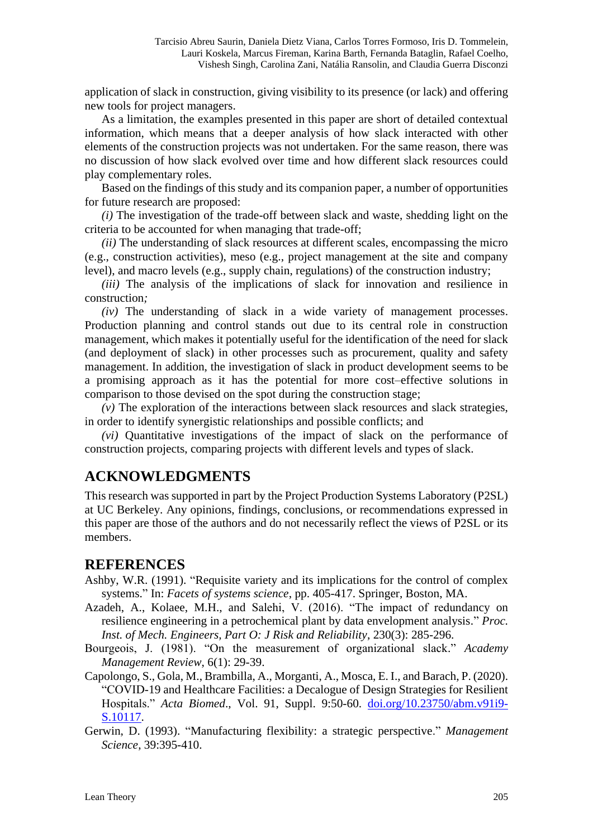application of slack in construction, giving visibility to its presence (or lack) and offering new tools for project managers.

As a limitation, the examples presented in this paper are short of detailed contextual information, which means that a deeper analysis of how slack interacted with other elements of the construction projects was not undertaken. For the same reason, there was no discussion of how slack evolved over time and how different slack resources could play complementary roles.

Based on the findings of this study and its companion paper, a number of opportunities for future research are proposed:

*(i)* The investigation of the trade-off between slack and waste, shedding light on the criteria to be accounted for when managing that trade-off;

*(ii)* The understanding of slack resources at different scales, encompassing the micro (e.g., construction activities), meso (e.g., project management at the site and company level), and macro levels (e.g., supply chain, regulations) of the construction industry;

*(iii)* The analysis of the implications of slack for innovation and resilience in construction*;*

*(iv)* The understanding of slack in a wide variety of management processes. Production planning and control stands out due to its central role in construction management, which makes it potentially useful for the identification of the need for slack (and deployment of slack) in other processes such as procurement, quality and safety management. In addition, the investigation of slack in product development seems to be a promising approach as it has the potential for more cost–effective solutions in comparison to those devised on the spot during the construction stage;

*(v)* The exploration of the interactions between slack resources and slack strategies, in order to identify synergistic relationships and possible conflicts; and

*(vi)* Quantitative investigations of the impact of slack on the performance of construction projects, comparing projects with different levels and types of slack.

# **ACKNOWLEDGMENTS**

This research was supported in part by the Project Production Systems Laboratory (P2SL) at UC Berkeley. Any opinions, findings, conclusions, or recommendations expressed in this paper are those of the authors and do not necessarily reflect the views of P2SL or its members.

#### **REFERENCES**

- Ashby, W.R. (1991). "Requisite variety and its implications for the control of complex systems." In: *Facets of systems science*, pp. 405-417. Springer, Boston, MA.
- Azadeh, A., Kolaee, M.H., and Salehi, V. (2016). "The impact of redundancy on resilience engineering in a petrochemical plant by data envelopment analysis." *Proc. Inst. of Mech. Engineers, Part O: J Risk and Reliability*, 230(3): 285-296.
- Bourgeois, J. (1981). "On the measurement of organizational slack." *Academy Management Review*, 6(1): 29-39.
- Capolongo, S., Gola, M., Brambilla, A., Morganti, A., Mosca, E. I., and Barach, P. (2020). "COVID-19 and Healthcare Facilities: a Decalogue of Design Strategies for Resilient Hospitals." *Acta Biomed*., Vol. 91, Suppl. 9:50-60. [doi.org/10.23750/abm.v91i9-](https://doi.org/10.23750/abm.v91i9-S.10117) [S.10117.](https://doi.org/10.23750/abm.v91i9-S.10117)
- Gerwin, D. (1993). "Manufacturing flexibility: a strategic perspective." *Management Science*, 39:395-410.